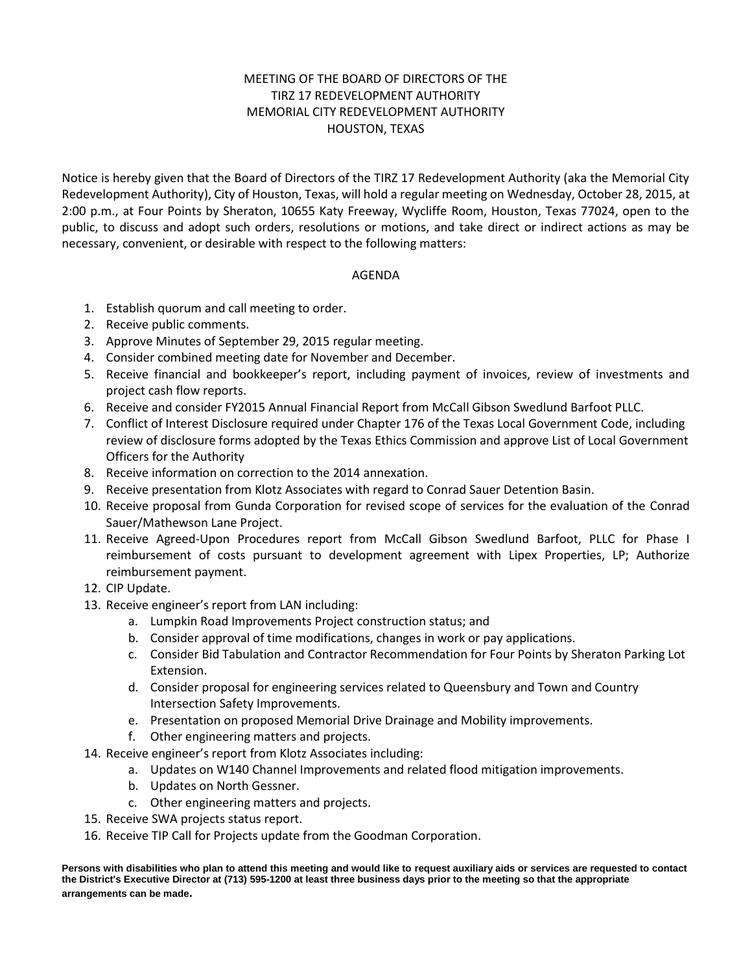## MEETING OF THE BOARD OF DIRECTORS OF THE TIRZ 17 REDEVELOPMENT AUTHORITY MEMORIAL CITY REDEVELOPMENT AUTHORITY HOUSTON, TEXAS

Notice is hereby given that the Board of Directors of the TIRZ 17 Redevelopment Authority (aka the Memorial City Redevelopment Authority), City of Houston, Texas, will hold a regular meeting on Wednesday, October 28, 2015, at 2:00 p.m., at Four Points by Sheraton, 10655 Katy Freeway, Wycliffe Room, Houston, Texas 77024, open to the public, to discuss and adopt such orders, resolutions or motions, and take direct or indirect actions as may be necessary, convenient, or desirable with respect to the following matters:

## AGENDA

- 1. Establish quorum and call meeting to order.
- 2. Receive public comments.
- 3. Approve Minutes of September 29, 2015 regular meeting.
- 4. Consider combined meeting date for November and December.
- 5. Receive financial and bookkeeper's report, including payment of invoices, review of investments and project cash flow reports.
- 6. Receive and consider FY2015 Annual Financial Report from McCall Gibson Swedlund Barfoot PLLC.
- 7. Conflict of Interest Disclosure required under Chapter 176 of the Texas Local Government Code, including review of disclosure forms adopted by the Texas Ethics Commission and approve List of Local Government Officers for the Authority
- 8. Receive information on correction to the 2014 annexation.
- 9. Receive presentation from Klotz Associates with regard to Conrad Sauer Detention Basin.
- 10. Receive proposal from Gunda Corporation for revised scope of services for the evaluation of the Conrad Sauer/Mathewson Lane Project.
- 11. Receive Agreed-Upon Procedures report from McCall Gibson Swedlund Barfoot, PLLC for Phase I reimbursement of costs pursuant to development agreement with Lipex Properties, LP; Authorize reimbursement payment.
- 12. CIP Update.
- 13. Receive engineer's report from LAN including:
	- a. Lumpkin Road Improvements Project construction status; and
	- b. Consider approval of time modifications, changes in work or pay applications.
	- c. Consider Bid Tabulation and Contractor Recommendation for Four Points by Sheraton Parking Lot Extension.
	- d. Consider proposal for engineering services related to Queensbury and Town and Country Intersection Safety Improvements.
	- e. Presentation on proposed Memorial Drive Drainage and Mobility improvements.
	- f. Other engineering matters and projects.
- 14. Receive engineer's report from Klotz Associates including:
	- a. Updates on W140 Channel Improvements and related flood mitigation improvements.
	- b. Updates on North Gessner.
	- c. Other engineering matters and projects.
- 15. Receive SWA projects status report.
- 16. Receive TIP Call for Projects update from the Goodman Corporation.

**Persons with disabilities who plan to attend this meeting and would like to request auxiliary aids or services are requested to contact the District's Executive Director at (713) 595-1200 at least three business days prior to the meeting so that the appropriate arrangements can be made.**